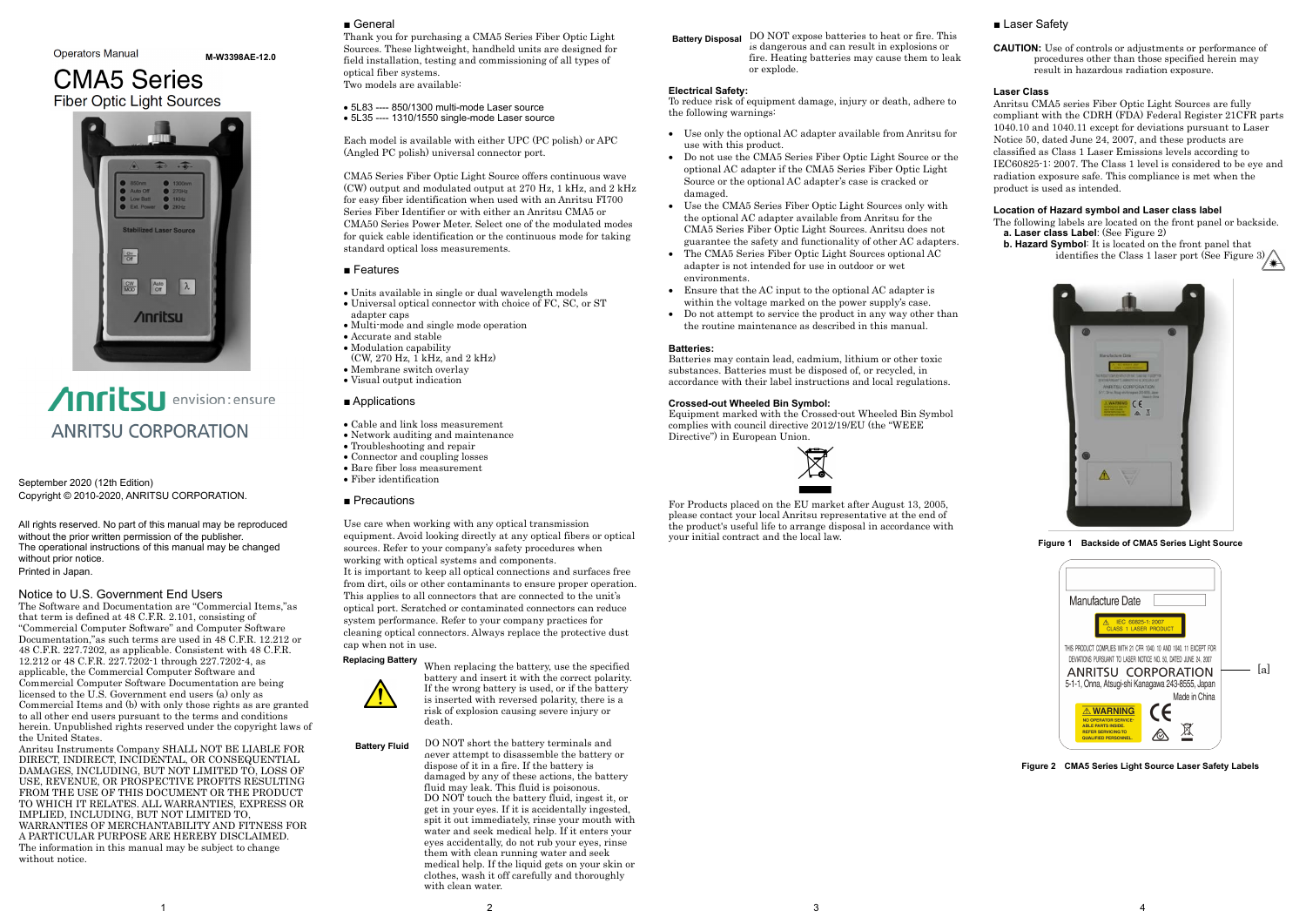September 2020 (12th Edition) Copyright © 2010-2020, ANRITSU CORPORATION.

All rights reserved. No part of this manual may be reproduced without the prior written permission of the publisher. The operational instructions of this manual may be changed without prior notice. Printed in Japan.

#### Notice to U.S. Government End Users

The Software and Documentation are "Commercial Items,"as that term is defined at 48 C.F.R. 2.101, consisting of "Commercial Computer Software" and Computer Software Documentation,"as such terms are used in 48 C.F.R. 12.212 or 48 C.F.R. 227.7202, as applicable. Consistent with 48 C.F.R. 12.212 or 48 C.F.R. 227.7202-1 through 227.7202-4, as applicable, the Commercial Computer Software and Commercial Computer Software Documentation are being licensed to the U.S. Government end users (a) only as Commercial Items and (b) with only those rights as are granted to all other end users pursuant to the terms and conditions herein. Unpublished rights reserved under the copyright laws of the United States.

Anritsu Instruments Company SHALL NOT BE LIABLE FOR DIRECT, INDIRECT, INCIDENTAL, OR CONSEQUENTIAL DAMAGES, INCLUDING, BUT NOT LIMITED TO, LOSS OF USE, REVENUE, OR PROSPECTIVE PROFITS RESULTING FROM THE USE OF THIS DOCUMENT OR THE PRODUCT TO WHICH IT RELATES. ALL WARRANTIES, EXPRESS OR IMPLIED, INCLUDING, BUT NOT LIMITED TO, WARRANTIES OF MERCHANTABILITY AND FITNESS FOR A PARTICULAR PURPOSE ARE HEREBY DISCLAIMED. The information in this manual may be subject to change without notice.

#### ■ General

- Cable and link loss measurement
- Network auditing and maintenance
- Troubleshooting and repair
- Connector and coupling losses
- Bare fiber loss measurement
- Fiber identification
- Precautions

Thank you for purchasing a CMA5 Series Fiber Optic Light Sources. These lightweight, handheld units are designed for field installation, testing and commissioning of all types of optical fiber systems. Two models are available:

• 5L83 ---- 850/1300 multi-mode Laser source • 5L35 ---- 1310/1550 single-mode Laser source

Each model is available with either UPC (PC polish) or APC (Angled PC polish) universal connector port.

CMA5 Series Fiber Optic Light Source offers continuous wave (CW) output and modulated output at 270 Hz, 1 kHz, and 2 kHz for easy fiber identification when used with an Anritsu FI700 Series Fiber Identifier or with either an Anritsu CMA5 or CMA50 Series Power Meter. Select one of the modulated modes for quick cable identification or the continuous mode for taking standard optical loss measurements.

#### ■ Features

- Units available in single or dual wavelength models
- Universal optical connector with choice of FC, SC, or ST
- adapter caps
- Multi-mode and single mode operation
- Accurate and stable
- Modulation capability
- $(CW, 270 Hz, 1 kHz, and 2 kHz)$
- Membrane switch overlay
- Visual output indication

#### ■ Applications

Use care when working with any optical transmission equipment. Avoid looking directly at any optical fibers or optical sources. Refer to your company's safety procedures when working with optical systems and components. It is important to keep all optical connections and surfaces free from dirt, oils or other contaminants to ensure proper operation. This applies to all connectors that are connected to the unit's optical port. Scratched or contaminated connectors can reduce system performance. Refer to your company practices for cleaning optical connectors. Always replace the protective dust cap when not in use.

- The following labels are located on the front panel or backside.  **a. Laser class Label**: (See Figure 2)
- **b. Hazard Symbol**: It is located on the front panel that **Symbo**l It is jocated on the *Leone port* (See Figure 3)  $\}$

When replacing the battery, use the specified battery and insert it with the correct polarity. If the wrong battery is used, or if the battery is inserted with reversed polarity, there is a risk of explosion causing severe injury or death.

#### **Electrical Safety:**

To reduce risk of equipment damage, injury or death, adhere to the following warnings:

- Use only the optional AC adapter available from Anritsu for use with this product.
- Do not use the CMA5 Series Fiber Optic Light Source or the optional AC adapter if the CMA5 Series Fiber Optic Light Source or the optional AC adapter's case is cracked or damaged.
- Use the CMA5 Series Fiber Optic Light Sources only with the optional AC adapter available from Anritsu for the CMA5 Series Fiber Optic Light Sources. Anritsu does not guarantee the safety and functionality of other AC adapters.
- The CMA5 Series Fiber Optic Light Sources optional AC adapter is not intended for use in outdoor or wet environments.
- Ensure that the AC input to the optional AC adapter is within the voltage marked on the power supply's case.
- Do not attempt to service the product in any way other than the routine maintenance as described in this manual.

DO NOT short the battery terminals and never attempt to disassemble the battery or dispose of it in a fire. If the battery is damaged by any of these actions, the battery fluid may leak. This fluid is poisonous. DO NOT touch the battery fluid, ingest it, or get in your eyes. If it is accidentally ingested, spit it out immediately, rinse your mouth with water and seek medical help. If it enters your eyes accidentally, do not rub your eyes, rinse them with clean running water and seek medical help. If the liquid gets on your skin or clothes, wash it off carefully and thoroughly with clean water. **Battery Fluid**

#### **Batteries:**

Batteries may contain lead, cadmium, lithium or other toxic substances. Batteries must be disposed of, or recycled, in accordance with their label instructions and local regulations.

#### **Crossed-out Wheeled Bin Symbol:**

DO NOT expose batteries to heat or fire. This is dangerous and can result in explosions or fire. Heating batteries may cause them to leak or explode. **Battery Disposal**

Equipment marked with the Crossed-out Wheeled Bin Symbol complies with council directive 2012/19/EU (the "WEEE Directive") in European Union.



For Products placed on the EU market after August 13, 2005, please contact your local Anritsu representative at the end of the product's useful life to arrange disposal in accordance with your initial contract and the local law.

#### ■ Laser Safety

**CAUTION:** Use of controls or adjustments or performance of procedures other than those specified herein may result in hazardous radiation exposure.

#### **Laser Class**

Anritsu CMA5 series Fiber Optic Light Sources are fully compliant with the CDRH (FDA) Federal Register 21CFR parts 1040.10 and 1040.11 except for deviations pursuant to Laser Notice 50, dated June 24, 2007, and these products are classified as Class 1 Laser Emissions levels according to IEC60825-1: 2007. The Class 1 level is considered to be eye and radiation exposure safe. This compliance is met when the product is used as intended.

#### **Location of Hazard symbol and Laser class label**



**Figure 1 Backside of CMA5 Series Light Source** 

**Figure 2 CMA5 Series Light Source Laser Safety Labels**

| Manufacture Date                                                                                                                                 |     |
|--------------------------------------------------------------------------------------------------------------------------------------------------|-----|
| IEC 60825-1:2007<br><b>LASER PRODUCT</b><br>CLASS <sub>1</sub>                                                                                   |     |
| THIS PRODUCT COMPLIES WITH 21 CFR 1040, 10 AND 1040, 11 EXCEPT FOR<br>DEVIATIONS PURSUANT TO LASER NOTICE NO. 50, DATED JUNE 24, 2007            |     |
| ANRITSU CORPORATION<br>5-1-1, Onna, Atsugi-shi Kanagawa 243-8555, Japan                                                                          | lal |
| Made in China                                                                                                                                    |     |
| $\epsilon$<br><b>WARNING</b><br><b>OPERATOR SERVICE-</b><br><b>ABLE PARTS INSIDE</b><br><b>REFER SERVICING TO</b><br><b>QUALIFIED PERSONNEL.</b> |     |



#### **Operators Manual**

**M-W3398AE-12.0**

# **CMA5 Series Fiber Optic Light Sources**



# Anritsu envision: ensure **ANRITSU CORPORATION**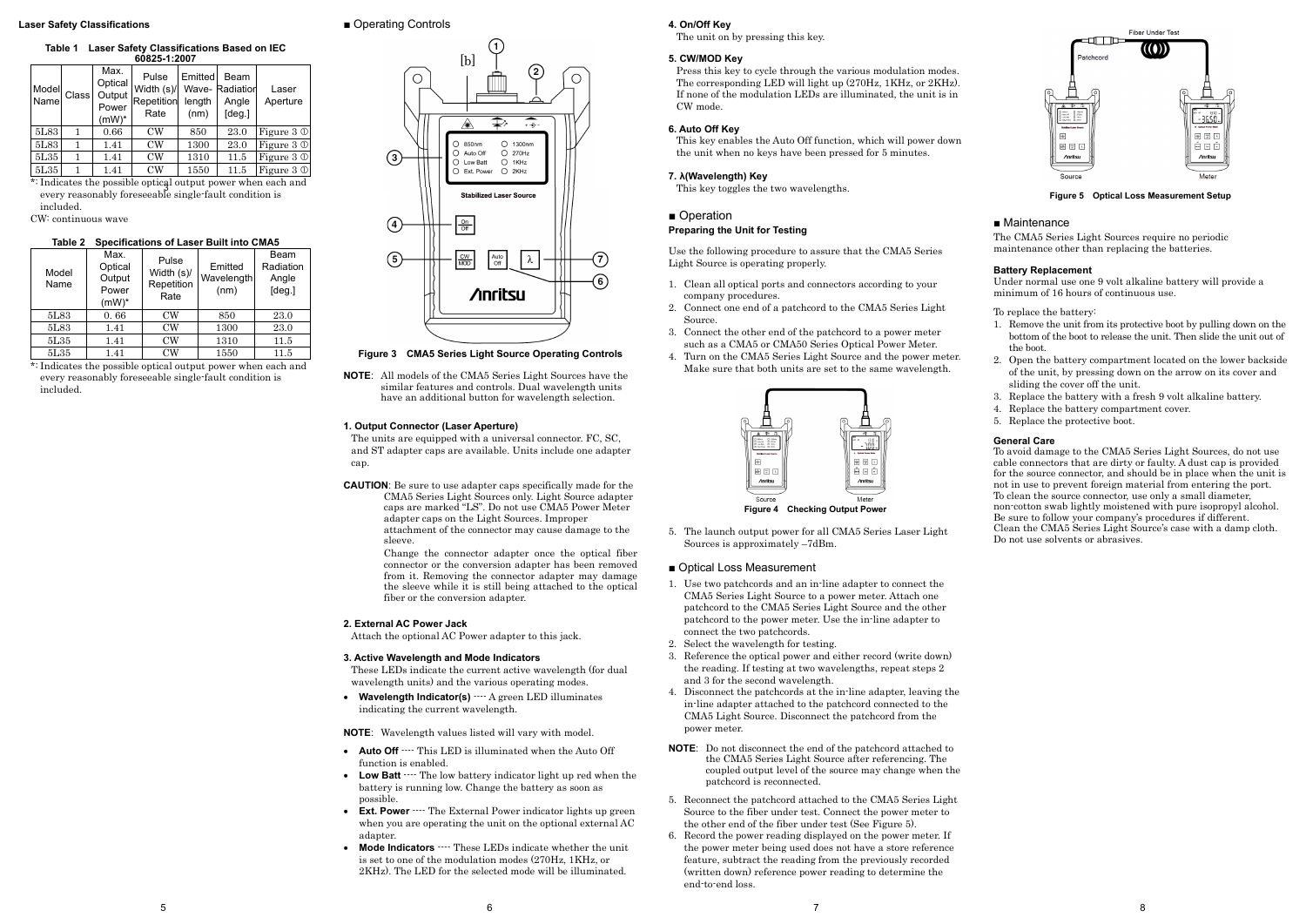#### **Laser Safety Classifications**

## **Table 1 Laser Safety Classifications Based on IEC**

| 60825-1:2007  |              |                                                |                                           |                           |                                                         |                   |
|---------------|--------------|------------------------------------------------|-------------------------------------------|---------------------------|---------------------------------------------------------|-------------------|
| Model<br>Name | <b>Class</b> | Max.<br>Optical<br>Output<br>Power<br>$(mW)^*$ | Pulse<br>Width (s)/<br>Repetition<br>Rate | Emitted<br>length<br>(nm) | <b>Beam</b><br><b>Wave-Radiation</b><br>Angle<br>[deg.] | Laser<br>Aperture |
| 5L83          | 1            | 0.66                                           | $_{\rm CW}$                               | 850                       | 23.0                                                    | Figure $3 \circ$  |
| 5L83          | 1            | 1.41                                           | $\rm{CW}$                                 | 1300                      | 23.0                                                    | Figure $3 \circ$  |
| 5L35          | 1            | 1.41                                           | CW                                        | 1310                      | 11.5                                                    | Figure 3 0        |
| 5L35          |              | 1.41                                           | $\rm{CW}$                                 | 1550                      | 11.5                                                    | Figure $3 \circ$  |

makates the possible optical output power when each \*: Indicates the possible optical output power when each and included.

CW: continuous wave

#### **Table 2 Specifications of Laser Built into CMA5**

| Model<br>Name | Max.<br>Optical<br>Output<br>Power<br>$(mW)^*$ | Pulse<br>Width (s)/<br>Repetition<br>Rate | Emitted<br>Wavelength<br>(nm) | Beam<br>Radiation<br>Angle<br>[deg.] |
|---------------|------------------------------------------------|-------------------------------------------|-------------------------------|--------------------------------------|
| 5L83          | 0.66                                           | <b>CW</b>                                 | 850                           | 23.0                                 |
| 5L83          | 1.41                                           | $\rm{CW}$                                 | 1300                          | 23.0                                 |
| 5L35          | 1.41                                           | CW                                        | 1310                          | 11.5                                 |
| 5L35          | 1.41                                           | CW                                        | 1550                          | 11.5                                 |

\*: Indicates the possible optical output power when each and every reasonably foreseeable single-fault condition is included.

## ■ Operating Controls

• Wavelength Indicator(s)  $--$  A green LED illuminates indicating the current wavelength.

**NOTE**: All models of the CMA5 Series Light Sources have the similar features and controls. Dual wavelength units have an additional button for wavelength selection.

#### **1. Output Connector (Laser Aperture)**

The units are equipped with a universal connector. FC, SC, and ST adapter caps are available. Units include one adapter cap.

**CAUTION**: Be sure to use adapter caps specifically made for the CMA5 Series Light Sources only. Light Source adapter caps are marked "LS". Do not use CMA5 Power Meter adapter caps on the Light Sources. Improper attachment of the connector may cause damage to the sleeve.

> Change the connector adapter once the optical fiber connector or the conversion adapter has been removed from it. Removing the connector adapter may damage the sleeve while it is still being attached to the optical fiber or the conversion adapter.

#### **2. External AC Power Jack**

Attach the optional AC Power adapter to this jack.

#### **3. Active Wavelength and Mode Indicators**

These LEDs indicate the current active wavelength (for dual wavelength units) and the various operating modes.

**NOTE**: Wavelength values listed will vary with model.

- **Auto Off** ---- This LED is illuminated when the Auto Off function is enabled.
- **Low Batt**  $\cdots$  The low battery indicator light up red when the battery is running low. Change the battery as soon as possible.
- **Ext. Power**  $\cdots$  The External Power indicator lights up green when you are operating the unit on the optional external AC adapter.
- **Mode Indicators**  $\cdots$  These LEDs indicate whether the unit is set to one of the modulation modes (270Hz, 1KHz, or 2KHz). The LED for the selected mode will be illuminated.

#### **4. On/Off Key**

The unit on by pressing this key.

#### **5. CW/MOD Key**

Press this key to cycle through the various modulation modes. The corresponding LED will light up (270Hz, 1KHz, or 2KHz). If none of the modulation LEDs are illuminated, the unit is in CW mode.

#### **6. Auto Off Key**

This key enables the Auto Off function, which will power down the unit when no keys have been pressed for 5 minutes.

#### **7. λ(Wavelength) Key**

This key toggles the two wavelengths.

#### ■ Operation

#### **Preparing the Unit for Testing**

Use the following procedure to assure that the CMA5 Series Light Source is operating properly.

- 1. Clean all optical ports and connectors according to your company procedures.
- 2. Connect one end of a patchcord to the CMA5 Series Light Source.
- 3. Connect the other end of the patchcord to a power meter such as a CMA5 or CMA50 Series Optical Power Meter.
- 4. Turn on the CMA5 Series Light Source and the power meter. Make sure that both units are set to the same wavelength.



**Figure 3 CMA5 Series Light Source Operating Controls**



5. The launch output power for all CMA5 Series Laser Light Sources is approximately –7dBm.

#### ■ Optical Loss Measurement

- 1. Use two patchcords and an in-line adapter to connect the CMA5 Series Light Source to a power meter. Attach one patchcord to the CMA5 Series Light Source and the other patchcord to the power meter. Use the in-line adapter to connect the two patchcords.
- 2. Select the wavelength for testing.
- 3. Reference the optical power and either record (write down) the reading. If testing at two wavelengths, repeat steps 2 and 3 for the second wavelength.
- 4. Disconnect the patchcords at the in-line adapter, leaving the in-line adapter attached to the patchcord connected to the CMA5 Light Source. Disconnect the patchcord from the power meter.
- **NOTE:** Do not disconnect the end of the patchcord attached to the CMA5 Series Light Source after referencing. The coupled output level of the source may change when the patchcord is reconnected.
- 5. Reconnect the patchcord attached to the CMA5 Series Light Source to the fiber under test. Connect the power meter to the other end of the fiber under test (See Figure 5).
- 6. Record the power reading displayed on the power meter. If the power meter being used does not have a store reference feature, subtract the reading from the previously recorded (written down) reference power reading to determine the end-to-end loss.



**Figure 5 Optical Loss Measurement Setup**

#### ■ Maintenance

The CMA5 Series Light Sources require no periodic maintenance other than replacing the batteries.

#### **Battery Replacement**

Under normal use one 9 volt alkaline battery will provide a minimum of 16 hours of continuous use.

To replace the battery:

- 1. Remove the unit from its protective boot by pulling down on the bottom of the boot to release the unit. Then slide the unit out of the boot.
- 2. Open the battery compartment located on the lower backside of the unit, by pressing down on the arrow on its cover and sliding the cover off the unit.
- 3. Replace the battery with a fresh 9 volt alkaline battery.
- 4. Replace the battery compartment cover.
- 5. Replace the protective boot.

#### **General Care**

To avoid damage to the CMA5 Series Light Sources, do not use cable connectors that are dirty or faulty. A dust cap is provided for the source connector, and should be in place when the unit is not in use to prevent foreign material from entering the port. To clean the source connector, use only a small diameter, non-cotton swab lightly moistened with pure isopropyl alcohol. Be sure to follow your company's procedures if different. Clean the CMA5 Series Light Source's case with a damp cloth. Do not use solvents or abrasives.